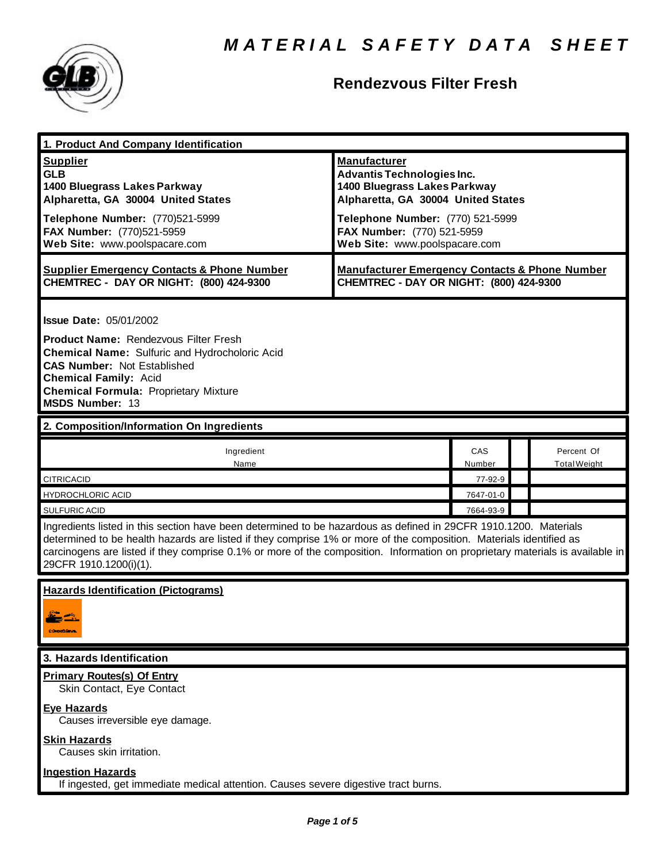

### **Rendezvous Filter Fresh**

| 1. Product And Company Identification                                                                                                                                                                                                                                                                                                                                                             |                                                                                                                                                                                                                                   |               |  |                                   |  |
|---------------------------------------------------------------------------------------------------------------------------------------------------------------------------------------------------------------------------------------------------------------------------------------------------------------------------------------------------------------------------------------------------|-----------------------------------------------------------------------------------------------------------------------------------------------------------------------------------------------------------------------------------|---------------|--|-----------------------------------|--|
| <b>Supplier</b><br><b>GLB</b><br>1400 Bluegrass Lakes Parkway<br>Alpharetta, GA 30004 United States<br>Telephone Number: (770)521-5999<br>FAX Number: (770)521-5959<br>Web Site: www.poolspacare.com                                                                                                                                                                                              | <b>Manufacturer</b><br><b>Advantis Technologies Inc.</b><br>1400 Bluegrass Lakes Parkway<br>Alpharetta, GA 30004 United States<br>Telephone Number: (770) 521-5999<br>FAX Number: (770) 521-5959<br>Web Site: www.poolspacare.com |               |  |                                   |  |
|                                                                                                                                                                                                                                                                                                                                                                                                   |                                                                                                                                                                                                                                   |               |  |                                   |  |
| <b>Supplier Emergency Contacts &amp; Phone Number</b><br>CHEMTREC - DAY OR NIGHT: (800) 424-9300                                                                                                                                                                                                                                                                                                  | <b>Manufacturer Emergency Contacts &amp; Phone Number</b><br>CHEMTREC - DAY OR NIGHT: (800) 424-9300                                                                                                                              |               |  |                                   |  |
| <b>Issue Date: 05/01/2002</b>                                                                                                                                                                                                                                                                                                                                                                     |                                                                                                                                                                                                                                   |               |  |                                   |  |
| <b>Product Name: Rendezvous Filter Fresh</b><br><b>Chemical Name: Sulfuric and Hydrocholoric Acid</b><br><b>CAS Number: Not Established</b><br><b>Chemical Family: Acid</b><br><b>Chemical Formula: Proprietary Mixture</b><br><b>MSDS Number: 13</b>                                                                                                                                             |                                                                                                                                                                                                                                   |               |  |                                   |  |
| 2. Composition/Information On Ingredients                                                                                                                                                                                                                                                                                                                                                         |                                                                                                                                                                                                                                   |               |  |                                   |  |
| Ingredient<br>Name                                                                                                                                                                                                                                                                                                                                                                                |                                                                                                                                                                                                                                   | CAS<br>Number |  | Percent Of<br><b>Total Weight</b> |  |
| CITRICACID                                                                                                                                                                                                                                                                                                                                                                                        |                                                                                                                                                                                                                                   | 77-92-9       |  |                                   |  |
| <b>HYDROCHLORIC ACID</b>                                                                                                                                                                                                                                                                                                                                                                          |                                                                                                                                                                                                                                   | 7647-01-0     |  |                                   |  |
| <b>SULFURIC ACID</b>                                                                                                                                                                                                                                                                                                                                                                              |                                                                                                                                                                                                                                   | 7664-93-9     |  |                                   |  |
| Ingredients listed in this section have been determined to be hazardous as defined in 29CFR 1910.1200. Materials<br>determined to be health hazards are listed if they comprise 1% or more of the composition. Materials identified as<br>carcinogens are listed if they comprise 0.1% or more of the composition. Information on proprietary materials is available in<br>29CFR 1910.1200(i)(1). |                                                                                                                                                                                                                                   |               |  |                                   |  |
| <b>Hazards Identification (Pictograms)</b><br><b>CONNICERVE</b>                                                                                                                                                                                                                                                                                                                                   |                                                                                                                                                                                                                                   |               |  |                                   |  |
| 3. Hazards Identification                                                                                                                                                                                                                                                                                                                                                                         |                                                                                                                                                                                                                                   |               |  |                                   |  |
| <b>Primary Routes(s) Of Entry</b><br>Skin Contact, Eye Contact                                                                                                                                                                                                                                                                                                                                    |                                                                                                                                                                                                                                   |               |  |                                   |  |
| <b>Eye Hazards</b><br>Causes irreversible eye damage.                                                                                                                                                                                                                                                                                                                                             |                                                                                                                                                                                                                                   |               |  |                                   |  |
| <b>Skin Hazards</b><br>Causes skin irritation.                                                                                                                                                                                                                                                                                                                                                    |                                                                                                                                                                                                                                   |               |  |                                   |  |
| <b>Ingestion Hazards</b><br>If ingested, get immediate medical attention. Causes severe digestive tract burns.                                                                                                                                                                                                                                                                                    |                                                                                                                                                                                                                                   |               |  |                                   |  |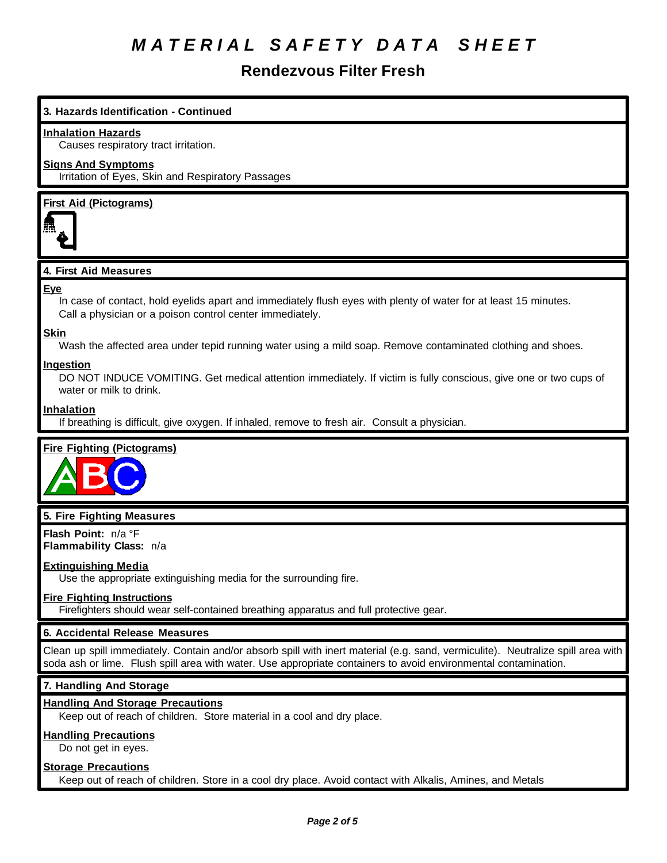### **Rendezvous Filter Fresh**

#### **3. Hazards Identification - Continued**

#### **Inhalation Hazards**

Causes respiratory tract irritation.

#### **Signs And Symptoms**

Irritation of Eyes, Skin and Respiratory Passages

#### **First Aid (Pictograms)**



#### **4. First Aid Measures**

#### **Eye**

In case of contact, hold eyelids apart and immediately flush eyes with plenty of water for at least 15 minutes. Call a physician or a poison control center immediately.

#### **Skin**

Wash the affected area under tepid running water using a mild soap. Remove contaminated clothing and shoes.

#### **Ingestion**

DO NOT INDUCE VOMITING. Get medical attention immediately. If victim is fully conscious, give one or two cups of water or milk to drink.

#### **Inhalation**

If breathing is difficult, give oxygen. If inhaled, remove to fresh air. Consult a physician.

#### **Fire Fighting (Pictograms)**



#### **5. Fire Fighting Measures**

**Flash Point:** n/a °F **Flammability Class:** n/a

#### **Extinguishing Media**

Use the appropriate extinguishing media for the surrounding fire.

#### **Fire Fighting Instructions**

Firefighters should wear self-contained breathing apparatus and full protective gear.

#### **6. Accidental Release Measures**

Clean up spill immediately. Contain and/or absorb spill with inert material (e.g. sand, vermiculite). Neutralize spill area with soda ash or lime. Flush spill area with water. Use appropriate containers to avoid environmental contamination.

#### **7. Handling And Storage**

#### **Handling And Storage Precautions**

Keep out of reach of children. Store material in a cool and dry place.

#### **Handling Precautions**

Do not get in eyes.

#### **Storage Precautions**

Keep out of reach of children. Store in a cool dry place. Avoid contact with Alkalis, Amines, and Metals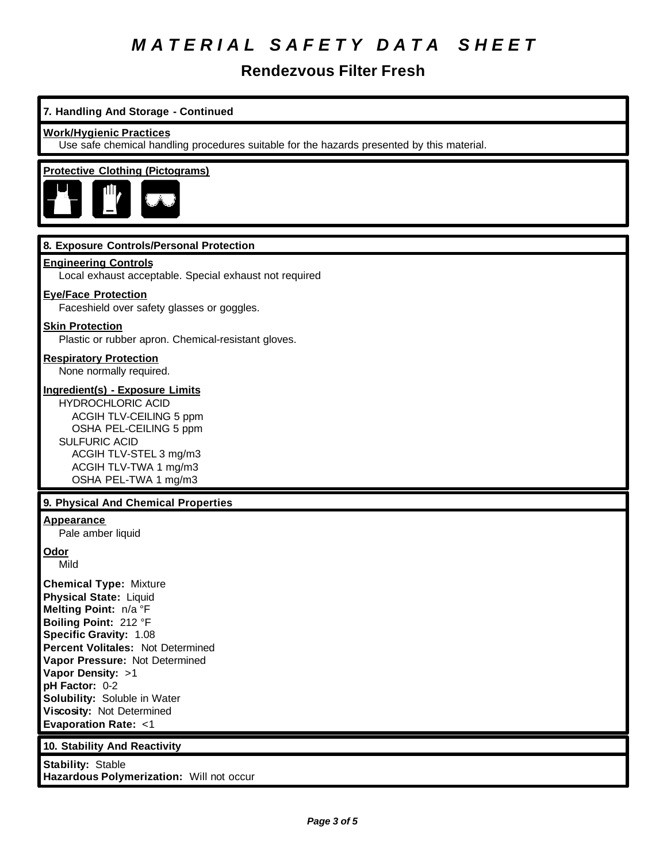**Rendezvous Filter Fresh**

### **7. Handling And Storage - Continued**

#### **Work/Hygienic Practices**

Use safe chemical handling procedures suitable for the hazards presented by this material.

### **Protective Clothing (Pictograms)**



#### **8. Exposure Controls/Personal Protection**

#### **Engineering Controls**

Local exhaust acceptable. Special exhaust not required

#### **Eye/Face Protection**

Faceshield over safety glasses or goggles.

#### **Skin Protection**

Plastic or rubber apron. Chemical-resistant gloves.

## **Respiratory Protection**

None normally required.

#### **Ingredient(s) - Exposure Limits**

HYDROCHLORIC ACID ACGIH TLV-CEILING 5 ppm OSHA PEL-CEILING 5 ppm SULFURIC ACID ACGIH TLV-STEL 3 mg/m3 ACGIH TLV-TWA 1 mg/m3 OSHA PEL-TWA 1 mg/m3

#### **9. Physical And Chemical Properties**

#### **Appearance**

Pale amber liquid

**Odor**

Mild

**Chemical Type:** Mixture **Physical State:** Liquid **Melting Point:** n/a °F **Boiling Point:** 212 °F **Specific Gravity:** 1.08 **Percent Volitales:** Not Determined **Vapor Pressure:** Not Determined **Vapor Density:** >1 **pH Factor:** 0-2 **Solubility:** Soluble in Water **Viscosity:** Not Determined **Evaporation Rate:** <1

#### **10. Stability And Reactivity**

**Stability:** Stable **Hazardous Polymerization:** Will not occur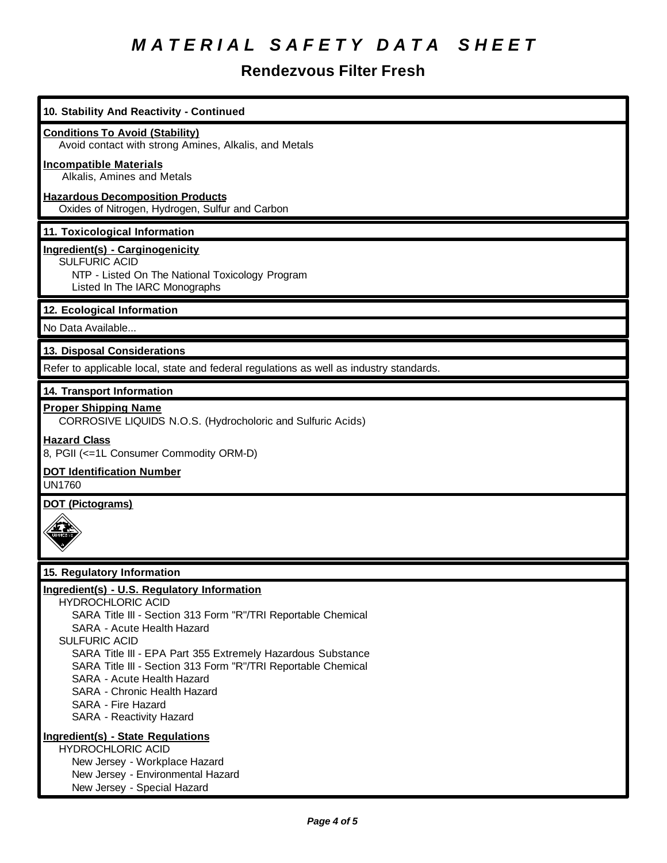## **Rendezvous Filter Fresh**

| 10. Stability And Reactivity - Continued                                                                                                                                                                                                                                                                                                                                                                                                       |
|------------------------------------------------------------------------------------------------------------------------------------------------------------------------------------------------------------------------------------------------------------------------------------------------------------------------------------------------------------------------------------------------------------------------------------------------|
| <b>Conditions To Avoid (Stability)</b><br>Avoid contact with strong Amines, Alkalis, and Metals                                                                                                                                                                                                                                                                                                                                                |
| <b>Incompatible Materials</b><br>Alkalis, Amines and Metals                                                                                                                                                                                                                                                                                                                                                                                    |
| <b>Hazardous Decomposition Products</b><br>Oxides of Nitrogen, Hydrogen, Sulfur and Carbon                                                                                                                                                                                                                                                                                                                                                     |
| 11. Toxicological Information                                                                                                                                                                                                                                                                                                                                                                                                                  |
| Ingredient(s) - Carginogenicity<br><b>SULFURIC ACID</b><br>NTP - Listed On The National Toxicology Program<br>Listed In The IARC Monographs                                                                                                                                                                                                                                                                                                    |
| 12. Ecological Information                                                                                                                                                                                                                                                                                                                                                                                                                     |
| No Data Available                                                                                                                                                                                                                                                                                                                                                                                                                              |
| 13. Disposal Considerations                                                                                                                                                                                                                                                                                                                                                                                                                    |
| Refer to applicable local, state and federal regulations as well as industry standards.                                                                                                                                                                                                                                                                                                                                                        |
| 14. Transport Information                                                                                                                                                                                                                                                                                                                                                                                                                      |
| <b>Proper Shipping Name</b><br>CORROSIVE LIQUIDS N.O.S. (Hydrocholoric and Sulfuric Acids)                                                                                                                                                                                                                                                                                                                                                     |
| <b>Hazard Class</b><br>8, PGII (<=1L Consumer Commodity ORM-D)                                                                                                                                                                                                                                                                                                                                                                                 |
| <b>DOT Identification Number</b><br><b>UN1760</b>                                                                                                                                                                                                                                                                                                                                                                                              |
| <b>DOT (Pictograms)</b>                                                                                                                                                                                                                                                                                                                                                                                                                        |
|                                                                                                                                                                                                                                                                                                                                                                                                                                                |
| 15. Regulatory Information                                                                                                                                                                                                                                                                                                                                                                                                                     |
| Ingredient(s) - U.S. Regulatory Information<br><b>HYDROCHLORIC ACID</b><br>SARA Title III - Section 313 Form "R"/TRI Reportable Chemical<br>SARA - Acute Health Hazard<br><b>SULFURIC ACID</b><br>SARA Title III - EPA Part 355 Extremely Hazardous Substance<br>SARA Title III - Section 313 Form "R"/TRI Reportable Chemical<br>SARA - Acute Health Hazard<br>SARA - Chronic Health Hazard<br>SARA - Fire Hazard<br>SARA - Reactivity Hazard |
| Ingredient(s) - State Regulations<br><b>HYDROCHLORIC ACID</b><br>New Jersey - Workplace Hazard<br>New Jersey - Environmental Hazard<br>New Jersey - Special Hazard                                                                                                                                                                                                                                                                             |